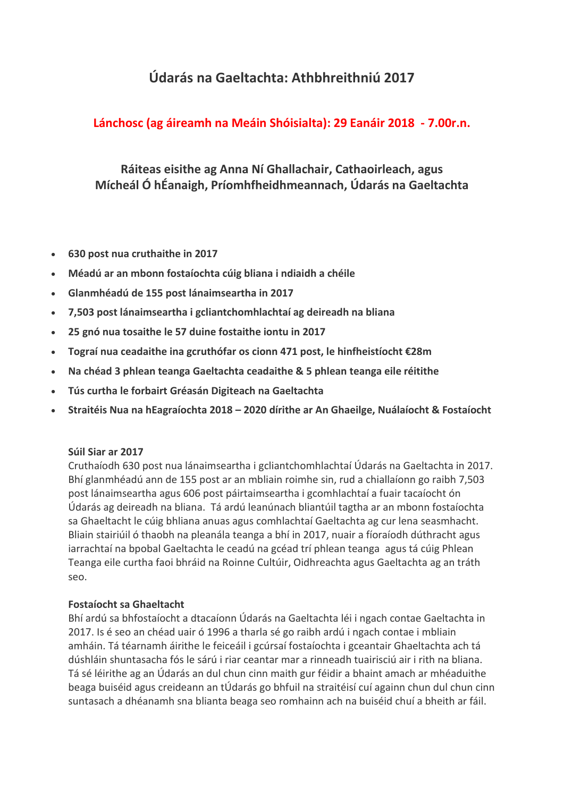# **Údarás na Gaeltachta: Athbhreithniú 2017**

## **Lánchosc (ag áireamh na Meáin Shóisialta): 29 Eanáir 2018 - 7.00r.n.**

# **Ráiteas eisithe ag Anna Ní Ghallachair, Cathaoirleach, agus Mícheál Ó hÉanaigh, Príomhfheidhmeannach, Údarás na Gaeltachta**

- **630 post nua cruthaithe in 2017**
- **Méadú ar an mbonn fostaíochta cúig bliana i ndiaidh a chéile**
- **Glanmhéadú de 155 post lánaimseartha in 2017**
- **7,503 post lánaimseartha i gcliantchomhlachtaí ag deireadh na bliana**
- **25 gnó nua tosaithe le 57 duine fostaithe iontu in 2017**
- **Tograí nua ceadaithe ina gcruthófar os cionn 471 post, le hinfheistíocht €28m**
- **Na chéad 3 phlean teanga Gaeltachta ceadaithe & 5 phlean teanga eile réitithe**
- **Tús curtha le forbairt Gréasán Digiteach na Gaeltachta**
- **Straitéis Nua na hEagraíochta 2018 – 2020 dírithe ar An Ghaeilge, Nuálaíocht & Fostaíocht**

#### **Súil Siar ar 2017**

Cruthaíodh 630 post nua lánaimseartha i gcliantchomhlachtaí Údarás na Gaeltachta in 2017. Bhí glanmhéadú ann de 155 post ar an mbliain roimhe sin, rud a chiallaíonn go raibh 7,503 post lánaimseartha agus 606 post páirtaimseartha i gcomhlachtaí a fuair tacaíocht ón Údarás ag deireadh na bliana. Tá ardú leanúnach bliantúil tagtha ar an mbonn fostaíochta sa Ghaeltacht le cúig bhliana anuas agus comhlachtaí Gaeltachta ag cur lena seasmhacht. Bliain stairiúil ó thaobh na pleanála teanga a bhí in 2017, nuair a fíoraíodh dúthracht agus iarrachtaí na bpobal Gaeltachta le ceadú na gcéad trí phlean teanga agus tá cúig Phlean Teanga eile curtha faoi bhráid na Roinne Cultúir, Oidhreachta agus Gaeltachta ag an tráth seo.

#### **Fostaíocht sa Ghaeltacht**

Bhí ardú sa bhfostaíocht a dtacaíonn Údarás na Gaeltachta léi i ngach contae Gaeltachta in 2017. Is é seo an chéad uair ó 1996 a tharla sé go raibh ardú i ngach contae i mbliain amháin. Tá téarnamh áirithe le feiceáil i gcúrsaí fostaíochta i gceantair Ghaeltachta ach tá dúshláin shuntasacha fós le sárú i riar ceantar mar a rinneadh tuairisciú air i rith na bliana. Tá sé léirithe ag an Údarás an dul chun cinn maith gur féidir a bhaint amach ar mhéaduithe beaga buiséid agus creideann an tÚdarás go bhfuil na straitéisí cuí againn chun dul chun cinn suntasach a dhéanamh sna blianta beaga seo romhainn ach na buiséid chuí a bheith ar fáil.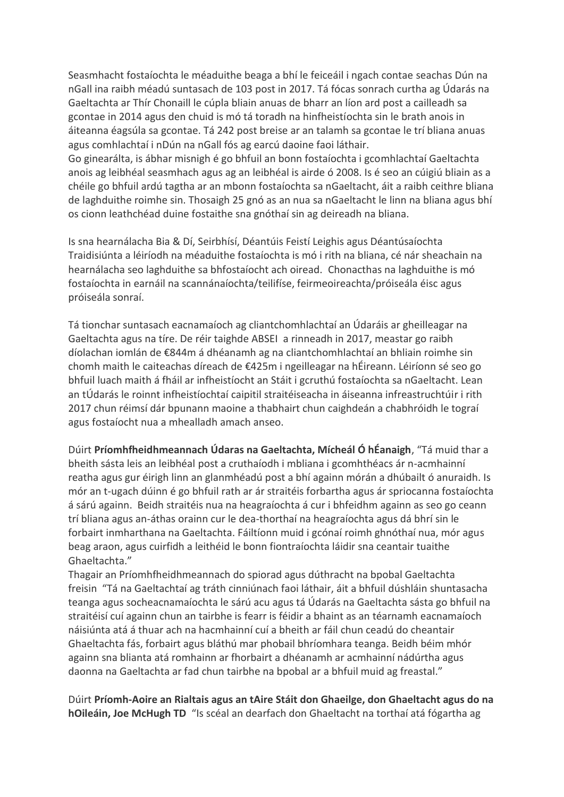Seasmhacht fostaíochta le méaduithe beaga a bhí le feiceáil i ngach contae seachas Dún na nGall ina raibh méadú suntasach de 103 post in 2017. Tá fócas sonrach curtha ag Údarás na Gaeltachta ar Thír Chonaill le cúpla bliain anuas de bharr an líon ard post a cailleadh sa gcontae in 2014 agus den chuid is mó tá toradh na hinfheistíochta sin le brath anois in áiteanna éagsúla sa gcontae. Tá 242 post breise ar an talamh sa gcontae le trí bliana anuas agus comhlachtaí i nDún na nGall fós ag earcú daoine faoi láthair.

Go ginearálta, is ábhar misnigh é go bhfuil an bonn fostaíochta i gcomhlachtaí Gaeltachta anois ag leibhéal seasmhach agus ag an leibhéal is airde ó 2008. Is é seo an cúigiú bliain as a chéile go bhfuil ardú tagtha ar an mbonn fostaíochta sa nGaeltacht, áit a raibh ceithre bliana de laghduithe roimhe sin. Thosaigh 25 gnó as an nua sa nGaeltacht le linn na bliana agus bhí os cionn leathchéad duine fostaithe sna gnóthaí sin ag deireadh na bliana.

Is sna hearnálacha Bia & Dí, Seirbhísí, Déantúis Feistí Leighis agus Déantúsaíochta Traidisiúnta a léiríodh na méaduithe fostaíochta is mó i rith na bliana, cé nár sheachain na hearnálacha seo laghduithe sa bhfostaíocht ach oiread. Chonacthas na laghduithe is mó fostaíochta in earnáil na scannánaíochta/teilifíse, feirmeoireachta/próiseála éisc agus próiseála sonraí.

Tá tionchar suntasach eacnamaíoch ag cliantchomhlachtaí an Údaráis ar gheilleagar na Gaeltachta agus na tíre. De réir taighde ABSEI a rinneadh in 2017, meastar go raibh díolachan iomlán de €844m á dhéanamh ag na cliantchomhlachtaí an bhliain roimhe sin chomh maith le caiteachas díreach de €425m i ngeilleagar na hÉireann. Léiríonn sé seo go bhfuil luach maith á fháil ar infheistíocht an Stáit i gcruthú fostaíochta sa nGaeltacht. Lean an tÚdarás le roinnt infheistíochtaí caipitil straitéiseacha in áiseanna infreastruchtúir i rith 2017 chun réimsí dár bpunann maoine a thabhairt chun caighdeán a chabhróidh le tograí agus fostaíocht nua a mhealladh amach anseo.

Dúirt **Príomhfheidhmeannach Údaras na Gaeltachta, Mícheál Ó hÉanaigh**, "Tá muid thar a bheith sásta leis an leibhéal post a cruthaíodh i mbliana i gcomhthéacs ár n-acmhainní reatha agus gur éirigh linn an glanmhéadú post a bhí againn mórán a dhúbailt ó anuraidh. Is mór an t-ugach dúinn é go bhfuil rath ar ár straitéis forbartha agus ár spriocanna fostaíochta á sárú againn. Beidh straitéis nua na heagraíochta á cur i bhfeidhm againn as seo go ceann trí bliana agus an-áthas orainn cur le dea-thorthaí na heagraíochta agus dá bhrí sin le forbairt inmharthana na Gaeltachta. Fáiltíonn muid i gcónaí roimh ghnóthaí nua, mór agus beag araon, agus cuirfidh a leithéid le bonn fiontraíochta láidir sna ceantair tuaithe Ghaeltachta."

Thagair an Príomhfheidhmeannach do spiorad agus dúthracht na bpobal Gaeltachta freisin "Tá na Gaeltachtaí ag tráth cinniúnach faoi láthair, áit a bhfuil dúshláin shuntasacha teanga agus socheacnamaíochta le sárú acu agus tá Údarás na Gaeltachta sásta go bhfuil na straitéisí cuí againn chun an tairbhe is fearr is féidir a bhaint as an téarnamh eacnamaíoch náisiúnta atá á thuar ach na hacmhainní cuí a bheith ar fáil chun ceadú do cheantair Ghaeltachta fás, forbairt agus bláthú mar phobail bhríomhara teanga. Beidh béim mhór againn sna blianta atá romhainn ar fhorbairt a dhéanamh ar acmhainní nádúrtha agus daonna na Gaeltachta ar fad chun tairbhe na bpobal ar a bhfuil muid ag freastal."

Dúirt **Príomh-Aoire an Rialtais agus an tAire Stáit don Ghaeilge, don Ghaeltacht agus do na hOileáin, Joe McHugh TD** "Is scéal an dearfach don Ghaeltacht na torthaí atá fógartha ag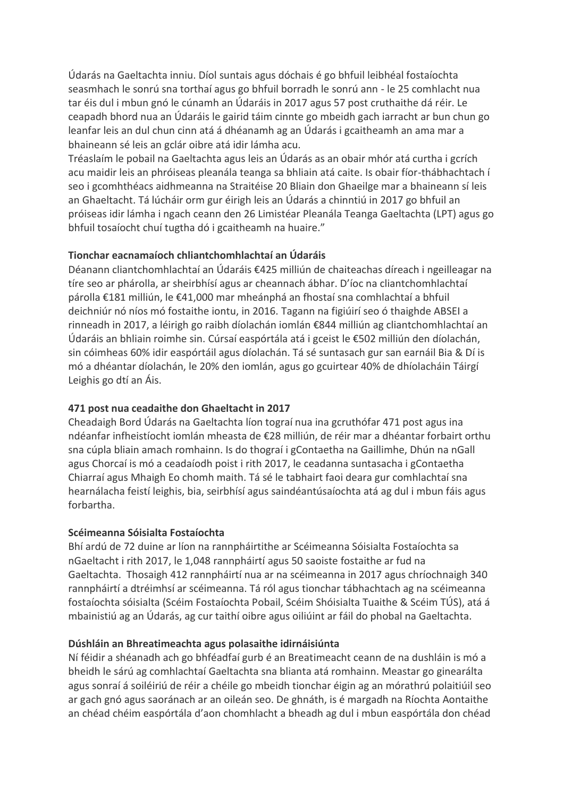Údarás na Gaeltachta inniu. Díol suntais agus dóchais é go bhfuil leibhéal fostaíochta seasmhach le sonrú sna torthaí agus go bhfuil borradh le sonrú ann - le 25 comhlacht nua tar éis dul i mbun gnó le cúnamh an Údaráis in 2017 agus 57 post cruthaithe dá réir. Le ceapadh bhord nua an Údaráis le gairid táim cinnte go mbeidh gach iarracht ar bun chun go leanfar leis an dul chun cinn atá á dhéanamh ag an Údarás i gcaitheamh an ama mar a bhaineann sé leis an gclár oibre atá idir lámha acu.

Tréaslaím le pobail na Gaeltachta agus leis an Údarás as an obair mhór atá curtha i gcrích acu maidir leis an phróiseas pleanála teanga sa bhliain atá caite. Is obair fíor-thábhachtach í seo i gcomhthéacs aidhmeanna na Straitéise 20 Bliain don Ghaeilge mar a bhaineann sí leis an Ghaeltacht. Tá lúcháir orm gur éirigh leis an Údarás a chinntiú in 2017 go bhfuil an próiseas idir lámha i ngach ceann den 26 Limistéar Pleanála Teanga Gaeltachta (LPT) agus go bhfuil tosaíocht chuí tugtha dó i gcaitheamh na huaire."

## **Tionchar eacnamaíoch chliantchomhlachtaí an Údaráis**

Déanann cliantchomhlachtaí an Údaráis €425 milliún de chaiteachas díreach i ngeilleagar na tíre seo ar phárolla, ar sheirbhísí agus ar cheannach ábhar. D'íoc na cliantchomhlachtaí párolla €181 milliún, le €41,000 mar mheánphá an fhostaí sna comhlachtaí a bhfuil deichniúr nó níos mó fostaithe iontu, in 2016. Tagann na figiúirí seo ó thaighde ABSEI a rinneadh in 2017, a léirigh go raibh díolachán iomlán €844 milliún ag cliantchomhlachtaí an Údaráis an bhliain roimhe sin. Cúrsaí easpórtála atá i gceist le €502 milliún den díolachán, sin cóimheas 60% idir easpórtáil agus díolachán. Tá sé suntasach gur san earnáil Bia & Dí is mó a dhéantar díolachán, le 20% den iomlán, agus go gcuirtear 40% de dhíolacháin Táirgí Leighis go dtí an Áis.

## **471 post nua ceadaithe don Ghaeltacht in 2017**

Cheadaigh Bord Údarás na Gaeltachta líon tograí nua ina gcruthófar 471 post agus ina ndéanfar infheistíocht iomlán mheasta de €28 milliún, de réir mar a dhéantar forbairt orthu sna cúpla bliain amach romhainn. Is do thograí i gContaetha na Gaillimhe, Dhún na nGall agus Chorcaí is mó a ceadaíodh poist i rith 2017, le ceadanna suntasacha i gContaetha Chiarraí agus Mhaigh Eo chomh maith. Tá sé le tabhairt faoi deara gur comhlachtaí sna hearnálacha feistí leighis, bia, seirbhísí agus saindéantúsaíochta atá ag dul i mbun fáis agus forbartha.

#### **Scéimeanna Sóisialta Fostaíochta**

Bhí ardú de 72 duine ar líon na rannpháirtithe ar Scéimeanna Sóisialta Fostaíochta sa nGaeltacht i rith 2017, le 1,048 rannpháirtí agus 50 saoiste fostaithe ar fud na Gaeltachta. Thosaigh 412 rannpháirtí nua ar na scéimeanna in 2017 agus chríochnaigh 340 rannpháirtí a dtréimhsí ar scéimeanna. Tá ról agus tionchar tábhachtach ag na scéimeanna fostaíochta sóisialta (Scéim Fostaíochta Pobail, Scéim Shóisialta Tuaithe & Scéim TÚS), atá á mbainistiú ag an Údarás, ag cur taithí oibre agus oiliúint ar fáil do phobal na Gaeltachta.

## **Dúshláin an Bhreatimeachta agus polasaithe idirnáisiúnta**

Ní féidir a shéanadh ach go bhféadfaí gurb é an Breatimeacht ceann de na dushláin is mó a bheidh le sárú ag comhlachtaí Gaeltachta sna blianta atá romhainn. Meastar go ginearálta agus sonraí á soiléiriú de réir a chéile go mbeidh tionchar éigin ag an mórathrú polaitiúil seo ar gach gnó agus saoránach ar an oileán seo. De ghnáth, is é margadh na Ríochta Aontaithe an chéad chéim easpórtála d'aon chomhlacht a bheadh ag dul i mbun easpórtála don chéad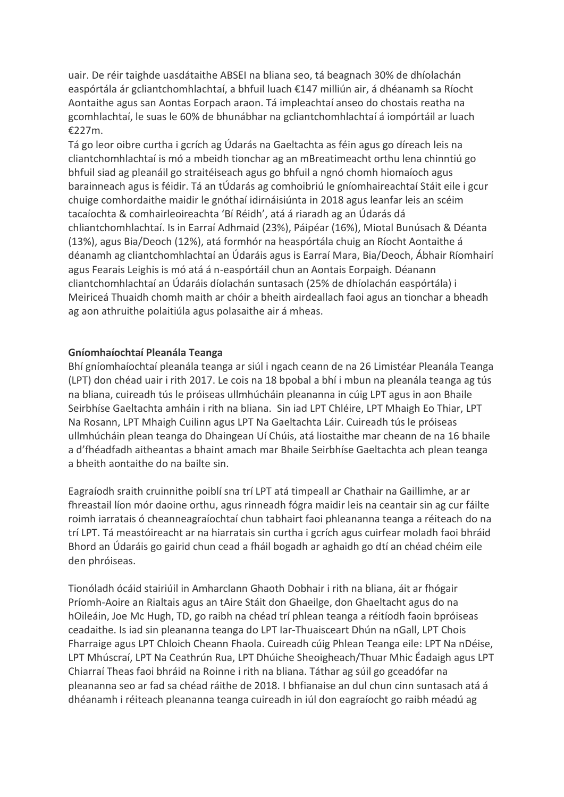uair. De réir taighde uasdátaithe ABSEI na bliana seo, tá beagnach 30% de dhíolachán easpórtála ár gcliantchomhlachtaí, a bhfuil luach €147 milliún air, á dhéanamh sa Ríocht Aontaithe agus san Aontas Eorpach araon. Tá impleachtaí anseo do chostais reatha na gcomhlachtaí, le suas le 60% de bhunábhar na gcliantchomhlachtaí á iompórtáil ar luach €227m.

Tá go leor oibre curtha i gcrích ag Údarás na Gaeltachta as féin agus go díreach leis na cliantchomhlachtaí is mó a mbeidh tionchar ag an mBreatimeacht orthu lena chinntiú go bhfuil siad ag pleanáil go straitéiseach agus go bhfuil a ngnó chomh hiomaíoch agus barainneach agus is féidir. Tá an tÚdarás ag comhoibriú le gníomhaireachtaí Stáit eile i gcur chuige comhordaithe maidir le gnóthaí idirnáisiúnta in 2018 agus leanfar leis an scéim tacaíochta & comhairleoireachta 'Bí Réidh', atá á riaradh ag an Údarás dá chliantchomhlachtaí. Is in Earraí Adhmaid (23%), Páipéar (16%), Miotal Bunúsach & Déanta (13%), agus Bia/Deoch (12%), atá formhór na heaspórtála chuig an Ríocht Aontaithe á déanamh ag cliantchomhlachtaí an Údaráis agus is Earraí Mara, Bia/Deoch, Ábhair Ríomhairí agus Fearais Leighis is mó atá á n-easpórtáil chun an Aontais Eorpaigh. Déanann cliantchomhlachtaí an Údaráis díolachán suntasach (25% de dhíolachán easpórtála) i Meiriceá Thuaidh chomh maith ar chóir a bheith airdeallach faoi agus an tionchar a bheadh ag aon athruithe polaitiúla agus polasaithe air á mheas.

#### **Gníomhaíochtaí Pleanála Teanga**

Bhí gníomhaíochtaí pleanála teanga ar siúl i ngach ceann de na 26 Limistéar Pleanála Teanga (LPT) don chéad uair i rith 2017. Le cois na 18 bpobal a bhí i mbun na pleanála teanga ag tús na bliana, cuireadh tús le próiseas ullmhúcháin pleananna in cúig LPT agus in aon Bhaile Seirbhíse Gaeltachta amháin i rith na bliana. Sin iad LPT Chléire, LPT Mhaigh Eo Thiar, LPT Na Rosann, LPT Mhaigh Cuilinn agus LPT Na Gaeltachta Láir. Cuireadh tús le próiseas ullmhúcháin plean teanga do Dhaingean Uí Chúis, atá liostaithe mar cheann de na 16 bhaile a d'fhéadfadh aitheantas a bhaint amach mar Bhaile Seirbhíse Gaeltachta ach plean teanga a bheith aontaithe do na bailte sin.

Eagraíodh sraith cruinnithe poiblí sna trí LPT atá timpeall ar Chathair na Gaillimhe, ar ar fhreastail líon mór daoine orthu, agus rinneadh fógra maidir leis na ceantair sin ag cur fáilte roimh iarratais ó cheanneagraíochtaí chun tabhairt faoi phleananna teanga a réiteach do na trí LPT. Tá meastóireacht ar na hiarratais sin curtha i gcrích agus cuirfear moladh faoi bhráid Bhord an Údaráis go gairid chun cead a fháil bogadh ar aghaidh go dtí an chéad chéim eile den phróiseas.

Tionóladh ócáid stairiúil in Amharclann Ghaoth Dobhair i rith na bliana, áit ar fhógair Príomh-Aoire an Rialtais agus an tAire Stáit don Ghaeilge, don Ghaeltacht agus do na hOileáin, Joe Mc Hugh, TD, go raibh na chéad trí phlean teanga a réitíodh faoin bpróiseas ceadaithe. Is iad sin pleananna teanga do LPT Iar-Thuaisceart Dhún na nGall, LPT Chois Fharraige agus LPT Chloich Cheann Fhaola. Cuireadh cúig Phlean Teanga eile: LPT Na nDéise, LPT Mhúscraí, LPT Na Ceathrún Rua, LPT Dhúiche Sheoigheach/Thuar Mhic Éadaigh agus LPT Chiarraí Theas faoi bhráid na Roinne i rith na bliana. Táthar ag súil go gceadófar na pleananna seo ar fad sa chéad ráithe de 2018. I bhfianaise an dul chun cinn suntasach atá á dhéanamh i réiteach pleananna teanga cuireadh in iúl don eagraíocht go raibh méadú ag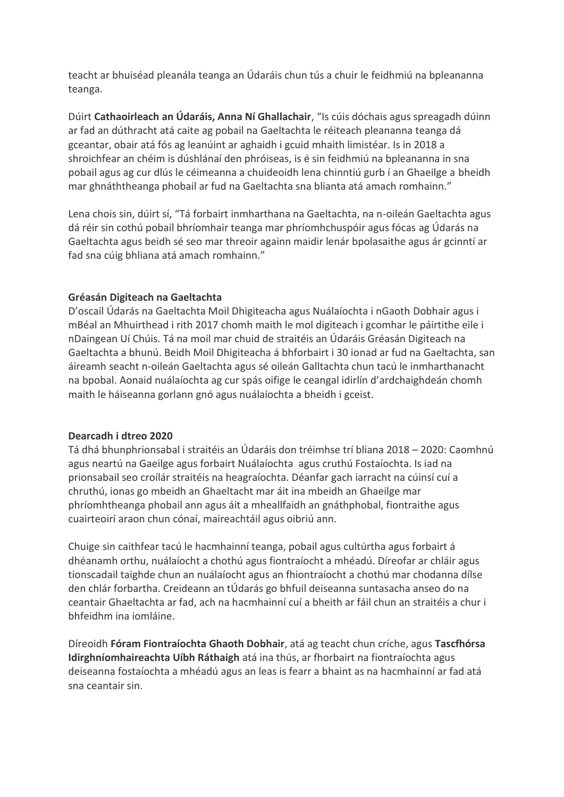teacht ar bhuiséad pleanála teanga an Údaráis chun tús a chuir le feidhmiú na bpleananna teanga.

Dúirt **Cathaoirleach an Údaráis, Anna Ní Ghallachair**, "Is cúis dóchais agus spreagadh dúinn ar fad an dúthracht atá caite ag pobail na Gaeltachta le réiteach pleananna teanga dá gceantar, obair atá fós ag leanúint ar aghaidh i gcuid mhaith limistéar. Is in 2018 a shroichfear an chéim is dúshlánaí den phróiseas, is é sin feidhmiú na bpleananna in sna pobail agus ag cur dlús le céimeanna a chuideoidh lena chinntiú gurb í an Ghaeilge a bheidh mar ghnáththeanga phobail ar fud na Gaeltachta sna blianta atá amach romhainn."

Lena chois sin, dúirt sí, "Tá forbairt inmharthana na Gaeltachta, na n-oileán Gaeltachta agus dá réir sin cothú pobail bhríomhair teanga mar phríomhchuspóir agus fócas ag Údarás na Gaeltachta agus beidh sé seo mar threoir againn maidir lenár bpolasaithe agus ár gcinntí ar fad sna cúig bhliana atá amach romhainn."

## **Gréasán Digiteach na Gaeltachta**

D'oscail Údarás na Gaeltachta Moil Dhigiteacha agus Nuálaíochta i nGaoth Dobhair agus i mBéal an Mhuirthead i rith 2017 chomh maith le mol digiteach i gcomhar le páirtithe eile i nDaingean Uí Chúis. Tá na moil mar chuid de straitéis an Údaráis Gréasán Digiteach na Gaeltachta a bhunú. Beidh Moil Dhigiteacha á bhforbairt i 30 ionad ar fud na Gaeltachta, san áireamh seacht n-oileán Gaeltachta agus sé oileán Galltachta chun tacú le inmharthanacht na bpobal. Aonaid nuálaíochta ag cur spás oifige le ceangal idirlín d'ardchaighdeán chomh maith le háiseanna gorlann gnó agus nuálaíochta a bheidh i gceist.

#### **Dearcadh i dtreo 2020**

Tá dhá bhunphrionsabal i straitéis an Údaráis don tréimhse trí bliana 2018 – 2020: Caomhnú agus neartú na Gaeilge agus forbairt Nuálaíochta agus cruthú Fostaíochta. Is iad na prionsabail seo croílár straitéis na heagraíochta. Déanfar gach iarracht na cúinsí cuí a chruthú, ionas go mbeidh an Ghaeltacht mar áit ina mbeidh an Ghaeilge mar phríomhtheanga phobail ann agus áit a mheallfaidh an gnáthphobal, fiontraithe agus cuairteoirí araon chun cónaí, maireachtáil agus oibriú ann.

Chuige sin caithfear tacú le hacmhainní teanga, pobail agus cultúrtha agus forbairt á dhéanamh orthu, nuálaíocht a chothú agus fiontraíocht a mhéadú. Díreofar ar chláir agus tionscadail taighde chun an nuálaíocht agus an fhiontraíocht a chothú mar chodanna dílse den chlár forbartha. Creideann an tÚdarás go bhfuil deiseanna suntasacha anseo do na ceantair Ghaeltachta ar fad, ach na hacmhainní cuí a bheith ar fáil chun an straitéis a chur i bhfeidhm ina iomláine.

Díreoidh **Fóram Fiontraíochta Ghaoth Dobhair**, atá ag teacht chun críche, agus **Tascfhórsa Idirghníomhaireachta Uíbh Ráthaigh** atá ina thús, ar fhorbairt na fiontraíochta agus deiseanna fostaíochta a mhéadú agus an leas is fearr a bhaint as na hacmhainní ar fad atá sna ceantair sin.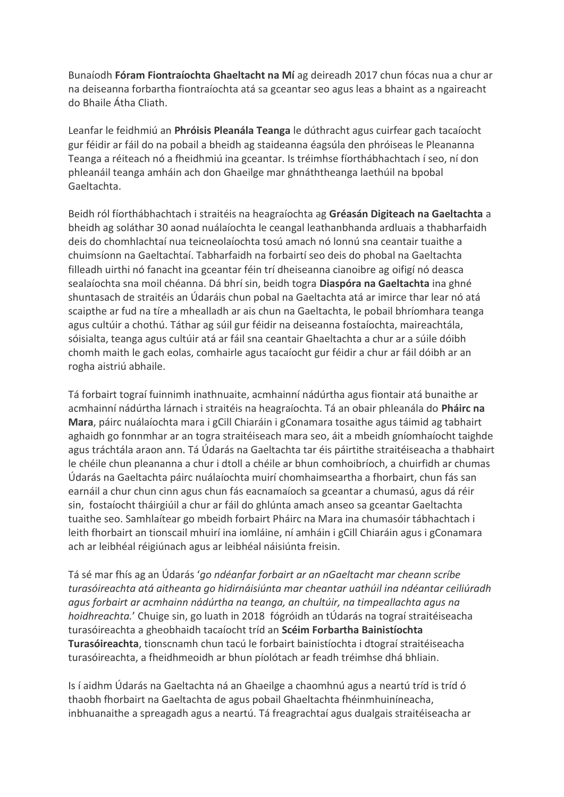Bunaíodh **Fóram Fiontraíochta Ghaeltacht na Mí** ag deireadh 2017 chun fócas nua a chur ar na deiseanna forbartha fiontraíochta atá sa gceantar seo agus leas a bhaint as a ngaireacht do Bhaile Átha Cliath.

Leanfar le feidhmiú an **Phróisis Pleanála Teanga** le dúthracht agus cuirfear gach tacaíocht gur féidir ar fáil do na pobail a bheidh ag staideanna éagsúla den phróiseas le Pleananna Teanga a réiteach nó a fheidhmiú ina gceantar. Is tréimhse fíorthábhachtach í seo, ní don phleanáil teanga amháin ach don Ghaeilge mar ghnáththeanga laethúil na bpobal Gaeltachta.

Beidh ról fíorthábhachtach i straitéis na heagraíochta ag **Gréasán Digiteach na Gaeltachta** a bheidh ag soláthar 30 aonad nuálaíochta le ceangal leathanbhanda ardluais a thabharfaidh deis do chomhlachtaí nua teicneolaíochta tosú amach nó lonnú sna ceantair tuaithe a chuimsíonn na Gaeltachtaí. Tabharfaidh na forbairtí seo deis do phobal na Gaeltachta filleadh uirthi nó fanacht ina gceantar féin trí dheiseanna cianoibre ag oifigí nó deasca sealaíochta sna moil chéanna. Dá bhrí sin, beidh togra **Diaspóra na Gaeltachta** ina ghné shuntasach de straitéis an Údaráis chun pobal na Gaeltachta atá ar imirce thar lear nó atá scaipthe ar fud na tíre a mhealladh ar ais chun na Gaeltachta, le pobail bhríomhara teanga agus cultúir a chothú. Táthar ag súil gur féidir na deiseanna fostaíochta, maireachtála, sóisialta, teanga agus cultúir atá ar fáil sna ceantair Ghaeltachta a chur ar a súile dóibh chomh maith le gach eolas, comhairle agus tacaíocht gur féidir a chur ar fáil dóibh ar an rogha aistriú abhaile.

Tá forbairt tograí fuinnimh inathnuaite, acmhainní nádúrtha agus fiontair atá bunaithe ar acmhainní nádúrtha lárnach i straitéis na heagraíochta. Tá an obair phleanála do **Pháirc na Mara**, páirc nuálaíochta mara i gCill Chiaráin i gConamara tosaithe agus táimid ag tabhairt aghaidh go fonnmhar ar an togra straitéiseach mara seo, áit a mbeidh gníomhaíocht taighde agus tráchtála araon ann. Tá Údarás na Gaeltachta tar éis páirtithe straitéiseacha a thabhairt le chéile chun pleananna a chur i dtoll a chéile ar bhun comhoibríoch, a chuirfidh ar chumas Údarás na Gaeltachta páirc nuálaíochta muirí chomhaimseartha a fhorbairt, chun fás san earnáil a chur chun cinn agus chun fás eacnamaíoch sa gceantar a chumasú, agus dá réir sin, fostaíocht tháirgiúil a chur ar fáil do ghlúnta amach anseo sa gceantar Gaeltachta tuaithe seo. Samhlaítear go mbeidh forbairt Pháirc na Mara ina chumasóir tábhachtach i leith fhorbairt an tionscail mhuirí ina iomláine, ní amháin i gCill Chiaráin agus i gConamara ach ar leibhéal réigiúnach agus ar leibhéal náisiúnta freisin.

Tá sé mar fhís ag an Údarás '*go ndéanfar forbairt ar an nGaeltacht mar cheann scríbe turasóireachta atá aitheanta go hidirnáisiúnta mar cheantar uathúil ina ndéantar ceiliúradh agus forbairt ar acmhainn nádúrtha na teanga, an chultúir, na timpeallachta agus na hoidhreachta.*' Chuige sin, go luath in 2018 fógróidh an tÚdarás na tograí straitéiseacha turasóireachta a gheobhaidh tacaíocht tríd an **Scéim Forbartha Bainistíochta Turasóireachta**, tionscnamh chun tacú le forbairt bainistíochta i dtograí straitéiseacha turasóireachta, a fheidhmeoidh ar bhun píolótach ar feadh tréimhse dhá bhliain.

Is í aidhm Údarás na Gaeltachta ná an Ghaeilge a chaomhnú agus a neartú tríd is tríd ó thaobh fhorbairt na Gaeltachta de agus pobail Ghaeltachta fhéinmhuiníneacha, inbhuanaithe a spreagadh agus a neartú. Tá freagrachtaí agus dualgais straitéiseacha ar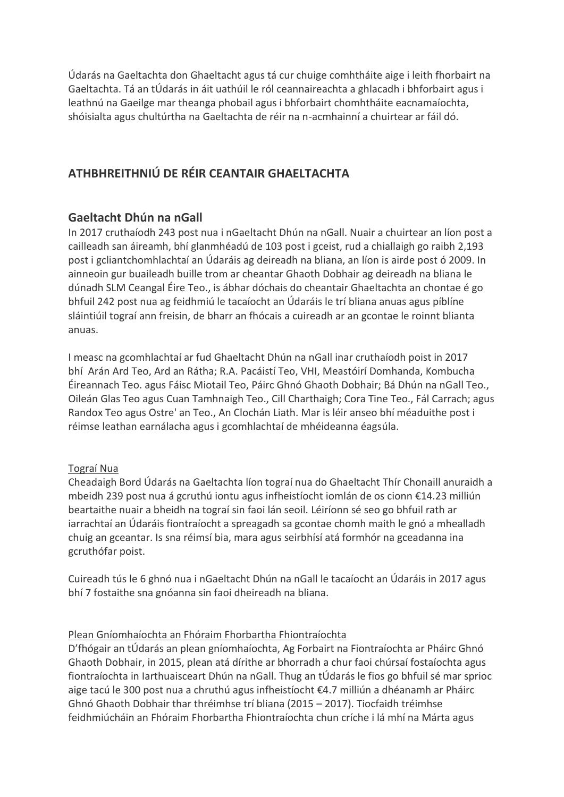Údarás na Gaeltachta don Ghaeltacht agus tá cur chuige comhtháite aige i leith fhorbairt na Gaeltachta. Tá an tÚdarás in áit uathúil le ról ceannaireachta a ghlacadh i bhforbairt agus i leathnú na Gaeilge mar theanga phobail agus i bhforbairt chomhtháite eacnamaíochta, shóisialta agus chultúrtha na Gaeltachta de réir na n-acmhainní a chuirtear ar fáil dó.

# **ATHBHREITHNIÚ DE RÉIR CEANTAIR GHAELTACHTA**

## **Gaeltacht Dhún na nGall**

In 2017 cruthaíodh 243 post nua i nGaeltacht Dhún na nGall. Nuair a chuirtear an líon post a cailleadh san áireamh, bhí glanmhéadú de 103 post i gceist, rud a chiallaigh go raibh 2,193 post i gcliantchomhlachtaí an Údaráis ag deireadh na bliana, an líon is airde post ó 2009. In ainneoin gur buaileadh buille trom ar cheantar Ghaoth Dobhair ag deireadh na bliana le dúnadh SLM Ceangal Éire Teo., is ábhar dóchais do cheantair Ghaeltachta an chontae é go bhfuil 242 post nua ag feidhmiú le tacaíocht an Údaráis le trí bliana anuas agus píblíne sláintiúil tograí ann freisin, de bharr an fhócais a cuireadh ar an gcontae le roinnt blianta anuas.

I measc na gcomhlachtaí ar fud Ghaeltacht Dhún na nGall inar cruthaíodh poist in 2017 bhí Arán Ard Teo, Ard an Rátha; R.A. Pacáistí Teo, VHI, Meastóirí Domhanda, Kombucha Éireannach Teo. agus Fáisc Miotail Teo, Páirc Ghnó Ghaoth Dobhair; Bá Dhún na nGall Teo., Oileán Glas Teo agus Cuan Tamhnaigh Teo., Cill Charthaigh; Cora Tine Teo., Fál Carrach; agus Randox Teo agus Ostre' an Teo., An Clochán Liath. Mar is léir anseo bhí méaduithe post i réimse leathan earnálacha agus i gcomhlachtaí de mhéideanna éagsúla.

#### Tograí Nua

Cheadaigh Bord Údarás na Gaeltachta líon tograí nua do Ghaeltacht Thír Chonaill anuraidh a mbeidh 239 post nua á gcruthú iontu agus infheistíocht iomlán de os cionn €14.23 milliún beartaithe nuair a bheidh na tograí sin faoi lán seoil. Léiríonn sé seo go bhfuil rath ar iarrachtaí an Údaráis fiontraíocht a spreagadh sa gcontae chomh maith le gnó a mhealladh chuig an gceantar. Is sna réimsí bia, mara agus seirbhísí atá formhór na gceadanna ina gcruthófar poist.

Cuireadh tús le 6 ghnó nua i nGaeltacht Dhún na nGall le tacaíocht an Údaráis in 2017 agus bhí 7 fostaithe sna gnóanna sin faoi dheireadh na bliana.

#### Plean Gníomhaíochta an Fhóraim Fhorbartha Fhiontraíochta

D'fhógair an tÚdarás an plean gníomhaíochta, Ag Forbairt na Fiontraíochta ar Pháirc Ghnó Ghaoth Dobhair, in 2015, plean atá dírithe ar bhorradh a chur faoi chúrsaí fostaíochta agus fiontraíochta in Iarthuaisceart Dhún na nGall. Thug an tÚdarás le fios go bhfuil sé mar sprioc aige tacú le 300 post nua a chruthú agus infheistíocht €4.7 milliún a dhéanamh ar Pháirc Ghnó Ghaoth Dobhair thar thréimhse trí bliana (2015 – 2017). Tiocfaidh tréimhse feidhmiúcháin an Fhóraim Fhorbartha Fhiontraíochta chun críche i lá mhí na Márta agus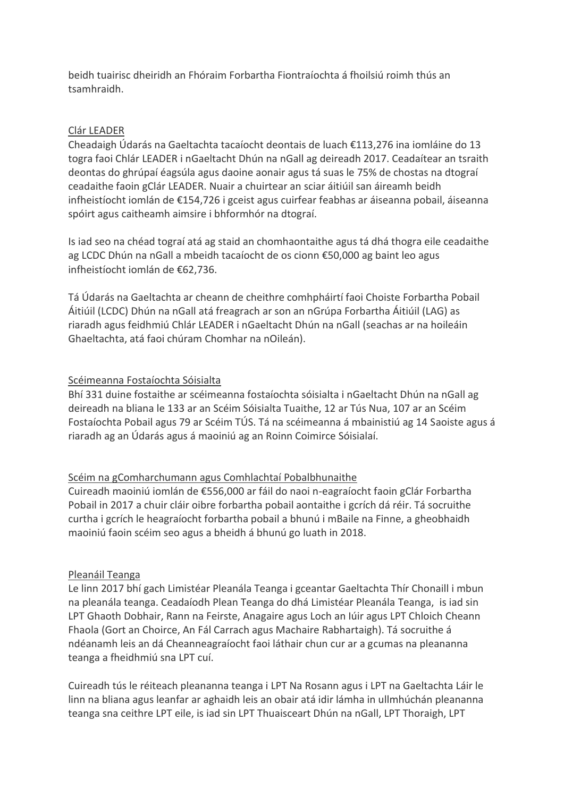beidh tuairisc dheiridh an Fhóraim Forbartha Fiontraíochta á fhoilsiú roimh thús an tsamhraidh.

## Clár LEADER

Cheadaigh Údarás na Gaeltachta tacaíocht deontais de luach €113,276 ina iomláine do 13 togra faoi Chlár LEADER i nGaeltacht Dhún na nGall ag deireadh 2017. Ceadaítear an tsraith deontas do ghrúpaí éagsúla agus daoine aonair agus tá suas le 75% de chostas na dtograí ceadaithe faoin gClár LEADER. Nuair a chuirtear an sciar áitiúil san áireamh beidh infheistíocht iomlán de €154,726 i gceist agus cuirfear feabhas ar áiseanna pobail, áiseanna spóirt agus caitheamh aimsire i bhformhór na dtograí.

Is iad seo na chéad tograí atá ag staid an chomhaontaithe agus tá dhá thogra eile ceadaithe ag LCDC Dhún na nGall a mbeidh tacaíocht de os cionn €50,000 ag baint leo agus infheistíocht iomlán de €62,736.

Tá Údarás na Gaeltachta ar cheann de cheithre comhpháirtí faoi Choiste Forbartha Pobail Áitiúil (LCDC) Dhún na nGall atá freagrach ar son an nGrúpa Forbartha Áitiúil (LAG) as riaradh agus feidhmiú Chlár LEADER i nGaeltacht Dhún na nGall (seachas ar na hoileáin Ghaeltachta, atá faoi chúram Chomhar na nOileán).

## Scéimeanna Fostaíochta Sóisialta

Bhí 331 duine fostaithe ar scéimeanna fostaíochta sóisialta i nGaeltacht Dhún na nGall ag deireadh na bliana le 133 ar an Scéim Sóisialta Tuaithe, 12 ar Tús Nua, 107 ar an Scéim Fostaíochta Pobail agus 79 ar Scéim TÚS. Tá na scéimeanna á mbainistiú ag 14 Saoiste agus á riaradh ag an Údarás agus á maoiniú ag an Roinn Coimirce Sóisialaí.

## Scéim na gComharchumann agus Comhlachtaí Pobalbhunaithe

Cuireadh maoiniú iomlán de €556,000 ar fáil do naoi n-eagraíocht faoin gClár Forbartha Pobail in 2017 a chuir cláir oibre forbartha pobail aontaithe i gcrích dá réir. Tá socruithe curtha i gcrích le heagraíocht forbartha pobail a bhunú i mBaile na Finne, a gheobhaidh maoiniú faoin scéim seo agus a bheidh á bhunú go luath in 2018.

#### Pleanáil Teanga

Le linn 2017 bhí gach Limistéar Pleanála Teanga i gceantar Gaeltachta Thír Chonaill i mbun na pleanála teanga. Ceadaíodh Plean Teanga do dhá Limistéar Pleanála Teanga, is iad sin LPT Ghaoth Dobhair, Rann na Feirste, Anagaire agus Loch an Iúir agus LPT Chloich Cheann Fhaola (Gort an Choirce, An Fál Carrach agus Machaire Rabhartaigh). Tá socruithe á ndéanamh leis an dá Cheanneagraíocht faoi láthair chun cur ar a gcumas na pleananna teanga a fheidhmiú sna LPT cuí.

Cuireadh tús le réiteach pleananna teanga i LPT Na Rosann agus i LPT na Gaeltachta Láir le linn na bliana agus leanfar ar aghaidh leis an obair atá idir lámha in ullmhúchán pleananna teanga sna ceithre LPT eile, is iad sin LPT Thuaisceart Dhún na nGall, LPT Thoraigh, LPT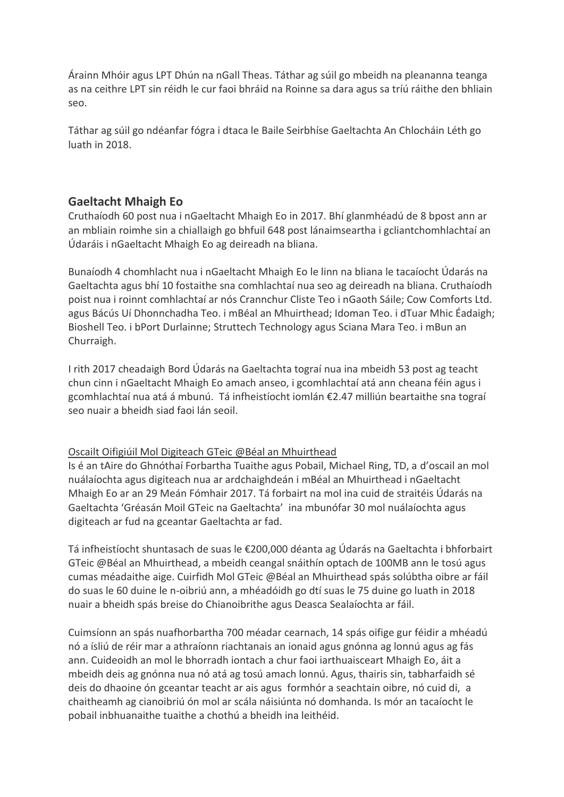Árainn Mhóir agus LPT Dhún na nGall Theas. Táthar ag súil go mbeidh na pleananna teanga as na ceithre LPT sin réidh le cur faoi bhráid na Roinne sa dara agus sa tríú ráithe den bhliain seo.

Táthar ag súil go ndéanfar fógra i dtaca le Baile Seirbhíse Gaeltachta An Chlocháin Léth go luath in 2018.

## **Gaeltacht Mhaigh Eo**

Cruthaíodh 60 post nua i nGaeltacht Mhaigh Eo in 2017. Bhí glanmhéadú de 8 bpost ann ar an mbliain roimhe sin a chiallaigh go bhfuil 648 post lánaimseartha i gcliantchomhlachtaí an Údaráis i nGaeltacht Mhaigh Eo ag deireadh na bliana.

Bunaíodh 4 chomhlacht nua i nGaeltacht Mhaigh Eo le linn na bliana le tacaíocht Údarás na Gaeltachta agus bhí 10 fostaithe sna comhlachtaí nua seo ag deireadh na bliana. Cruthaíodh poist nua i roinnt comhlachtaí ar nós Crannchur Cliste Teo i nGaoth Sáile; Cow Comforts Ltd. agus Bácús Uí Dhonnchadha Teo. i mBéal an Mhuirthead; Idoman Teo. i dTuar Mhic Éadaigh; Bioshell Teo. i bPort Durlainne; Struttech Technology agus Sciana Mara Teo. i mBun an Churraigh.

I rith 2017 cheadaigh Bord Údarás na Gaeltachta tograí nua ina mbeidh 53 post ag teacht chun cinn i nGaeltacht Mhaigh Eo amach anseo, i gcomhlachtaí atá ann cheana féin agus i gcomhlachtaí nua atá á mbunú. Tá infheistíocht iomlán €2.47 milliún beartaithe sna tograí seo nuair a bheidh siad faoi lán seoil.

## Oscailt Oifigiúil Mol Digiteach GTeic @Béal an Mhuirthead

Is é an tAire do Ghnóthaí Forbartha Tuaithe agus Pobail, Michael Ring, TD, a d'oscail an mol nuálaíochta agus digiteach nua ar ardchaighdeán i mBéal an Mhuirthead i nGaeltacht Mhaigh Eo ar an 29 Meán Fómhair 2017. Tá forbairt na mol ina cuid de straitéis Údarás na Gaeltachta 'Gréasán Moil GTeic na Gaeltachta' ina mbunófar 30 mol nuálaíochta agus digiteach ar fud na gceantar Gaeltachta ar fad.

Tá infheistíocht shuntasach de suas le €200,000 déanta ag Údarás na Gaeltachta i bhforbairt GTeic @Béal an Mhuirthead, a mbeidh ceangal snáithín optach de 100MB ann le tosú agus cumas méadaithe aige. Cuirfidh Mol GTeic @Béal an Mhuirthead spás solúbtha oibre ar fáil do suas le 60 duine le n-oibriú ann, a mhéadóidh go dtí suas le 75 duine go luath in 2018 nuair a bheidh spás breise do Chianoibrithe agus Deasca Sealaíochta ar fáil.

Cuimsíonn an spás nuafhorbartha 700 méadar cearnach, 14 spás oifige gur féidir a mhéadú nó a ísliú de réir mar a athraíonn riachtanais an ionaid agus gnónna ag lonnú agus ag fás ann. Cuideoidh an mol le bhorradh iontach a chur faoi iarthuaisceart Mhaigh Eo, áit a mbeidh deis ag gnónna nua nó atá ag tosú amach lonnú. Agus, thairis sin, tabharfaidh sé deis do dhaoine ón gceantar teacht ar ais agus formhór a seachtain oibre, nó cuid di, a chaitheamh ag cianoibriú ón mol ar scála náisiúnta nó domhanda. Is mór an tacaíocht le pobail inbhuanaithe tuaithe a chothú a bheidh ina leithéid.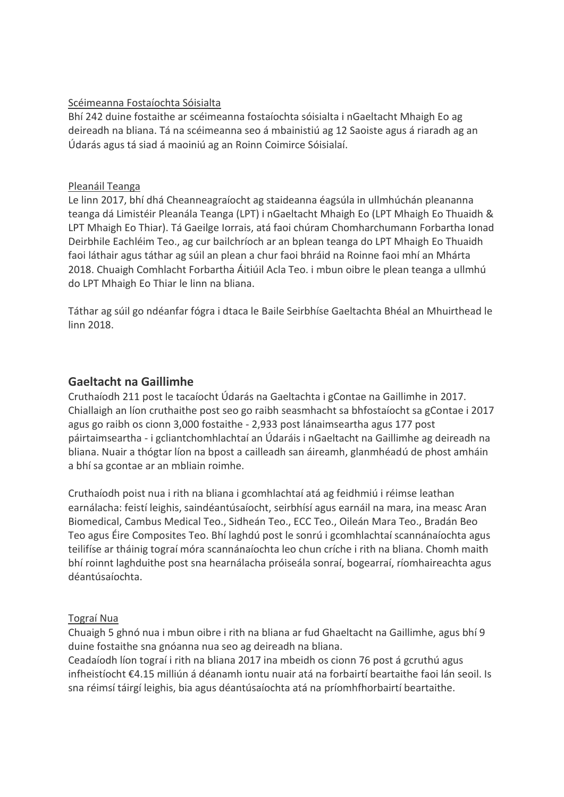## Scéimeanna Fostaíochta Sóisialta

Bhí 242 duine fostaithe ar scéimeanna fostaíochta sóisialta i nGaeltacht Mhaigh Eo ag deireadh na bliana. Tá na scéimeanna seo á mbainistiú ag 12 Saoiste agus á riaradh ag an Údarás agus tá siad á maoiniú ag an Roinn Coimirce Sóisialaí.

#### Pleanáil Teanga

Le linn 2017, bhí dhá Cheanneagraíocht ag staideanna éagsúla in ullmhúchán pleananna teanga dá Limistéir Pleanála Teanga (LPT) i nGaeltacht Mhaigh Eo (LPT Mhaigh Eo Thuaidh & LPT Mhaigh Eo Thiar). Tá Gaeilge Iorrais, atá faoi chúram Chomharchumann Forbartha Ionad Deirbhile Eachléim Teo., ag cur bailchríoch ar an bplean teanga do LPT Mhaigh Eo Thuaidh faoi láthair agus táthar ag súil an plean a chur faoi bhráid na Roinne faoi mhí an Mhárta 2018. Chuaigh Comhlacht Forbartha Áitiúil Acla Teo. i mbun oibre le plean teanga a ullmhú do LPT Mhaigh Eo Thiar le linn na bliana.

Táthar ag súil go ndéanfar fógra i dtaca le Baile Seirbhíse Gaeltachta Bhéal an Mhuirthead le linn 2018.

## **Gaeltacht na Gaillimhe**

Cruthaíodh 211 post le tacaíocht Údarás na Gaeltachta i gContae na Gaillimhe in 2017. Chiallaigh an líon cruthaithe post seo go raibh seasmhacht sa bhfostaíocht sa gContae i 2017 agus go raibh os cionn 3,000 fostaithe - 2,933 post lánaimseartha agus 177 post páirtaimseartha - i gcliantchomhlachtaí an Údaráis i nGaeltacht na Gaillimhe ag deireadh na bliana. Nuair a thógtar líon na bpost a cailleadh san áireamh, glanmhéadú de phost amháin a bhí sa gcontae ar an mbliain roimhe.

Cruthaíodh poist nua i rith na bliana i gcomhlachtaí atá ag feidhmiú i réimse leathan earnálacha: feistí leighis, saindéantúsaíocht, seirbhísí agus earnáil na mara, ina measc Aran Biomedical, Cambus Medical Teo., Sidheán Teo., ECC Teo., Oileán Mara Teo., Bradán Beo Teo agus Éire Composites Teo. Bhí laghdú post le sonrú i gcomhlachtaí scannánaíochta agus teilifíse ar tháinig tograí móra scannánaíochta leo chun críche i rith na bliana. Chomh maith bhí roinnt laghduithe post sna hearnálacha próiseála sonraí, bogearraí, ríomhaireachta agus déantúsaíochta.

## Tograí Nua

Chuaigh 5 ghnó nua i mbun oibre i rith na bliana ar fud Ghaeltacht na Gaillimhe, agus bhí 9 duine fostaithe sna gnóanna nua seo ag deireadh na bliana.

Ceadaíodh líon tograí i rith na bliana 2017 ina mbeidh os cionn 76 post á gcruthú agus infheistíocht €4.15 milliún á déanamh iontu nuair atá na forbairtí beartaithe faoi lán seoil. Is sna réimsí táirgí leighis, bia agus déantúsaíochta atá na príomhfhorbairtí beartaithe.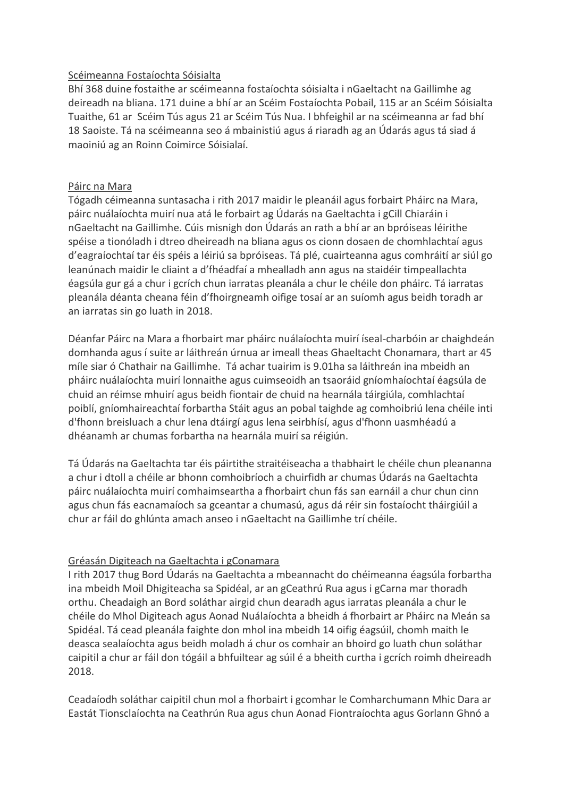## Scéimeanna Fostaíochta Sóisialta

Bhí 368 duine fostaithe ar scéimeanna fostaíochta sóisialta i nGaeltacht na Gaillimhe ag deireadh na bliana. 171 duine a bhí ar an Scéim Fostaíochta Pobail, 115 ar an Scéim Sóisialta Tuaithe, 61 ar Scéim Tús agus 21 ar Scéim Tús Nua. I bhfeighil ar na scéimeanna ar fad bhí 18 Saoiste. Tá na scéimeanna seo á mbainistiú agus á riaradh ag an Údarás agus tá siad á maoiniú ag an Roinn Coimirce Sóisialaí.

## Páirc na Mara

Tógadh céimeanna suntasacha i rith 2017 maidir le pleanáil agus forbairt Pháirc na Mara, páirc nuálaíochta muirí nua atá le forbairt ag Údarás na Gaeltachta i gCill Chiaráin i nGaeltacht na Gaillimhe. Cúis misnigh don Údarás an rath a bhí ar an bpróiseas léirithe spéise a tionóladh i dtreo dheireadh na bliana agus os cionn dosaen de chomhlachtaí agus d'eagraíochtaí tar éis spéis a léiriú sa bpróiseas. Tá plé, cuairteanna agus comhráití ar siúl go leanúnach maidir le cliaint a d'fhéadfaí a mhealladh ann agus na staidéir timpeallachta éagsúla gur gá a chur i gcrích chun iarratas pleanála a chur le chéile don pháirc. Tá iarratas pleanála déanta cheana féin d'fhoirgneamh oifige tosaí ar an suíomh agus beidh toradh ar an iarratas sin go luath in 2018.

Déanfar Páirc na Mara a fhorbairt mar pháirc nuálaíochta muirí íseal-charbóin ar chaighdeán domhanda agus í suite ar láithreán úrnua ar imeall theas Ghaeltacht Chonamara, thart ar 45 míle siar ó Chathair na Gaillimhe. Tá achar tuairim is 9.01ha sa láithreán ina mbeidh an pháirc nuálaíochta muirí lonnaithe agus cuimseoidh an tsaoráid gníomhaíochtaí éagsúla de chuid an réimse mhuirí agus beidh fiontair de chuid na hearnála táirgiúla, comhlachtaí poiblí, gníomhaireachtaí forbartha Stáit agus an pobal taighde ag comhoibriú lena chéile inti d'fhonn breisluach a chur lena dtáirgí agus lena seirbhísí, agus d'fhonn uasmhéadú a dhéanamh ar chumas forbartha na hearnála muirí sa réigiún.

Tá Údarás na Gaeltachta tar éis páirtithe straitéiseacha a thabhairt le chéile chun pleananna a chur i dtoll a chéile ar bhonn comhoibríoch a chuirfidh ar chumas Údarás na Gaeltachta páirc nuálaíochta muirí comhaimseartha a fhorbairt chun fás san earnáil a chur chun cinn agus chun fás eacnamaíoch sa gceantar a chumasú, agus dá réir sin fostaíocht tháirgiúil a chur ar fáil do ghlúnta amach anseo i nGaeltacht na Gaillimhe trí chéile.

## Gréasán Digiteach na Gaeltachta i gConamara

I rith 2017 thug Bord Údarás na Gaeltachta a mbeannacht do chéimeanna éagsúla forbartha ina mbeidh Moil Dhigiteacha sa Spidéal, ar an gCeathrú Rua agus i gCarna mar thoradh orthu. Cheadaigh an Bord soláthar airgid chun dearadh agus iarratas pleanála a chur le chéile do Mhol Digiteach agus Aonad Nuálaíochta a bheidh á fhorbairt ar Pháirc na Meán sa Spidéal. Tá cead pleanála faighte don mhol ina mbeidh 14 oifig éagsúil, chomh maith le deasca sealaíochta agus beidh moladh á chur os comhair an bhoird go luath chun soláthar caipitil a chur ar fáil don tógáil a bhfuiltear ag súil é a bheith curtha i gcrích roimh dheireadh 2018.

Ceadaíodh soláthar caipitil chun mol a fhorbairt i gcomhar le Comharchumann Mhic Dara ar Eastát Tionsclaíochta na Ceathrún Rua agus chun Aonad Fiontraíochta agus Gorlann Ghnó a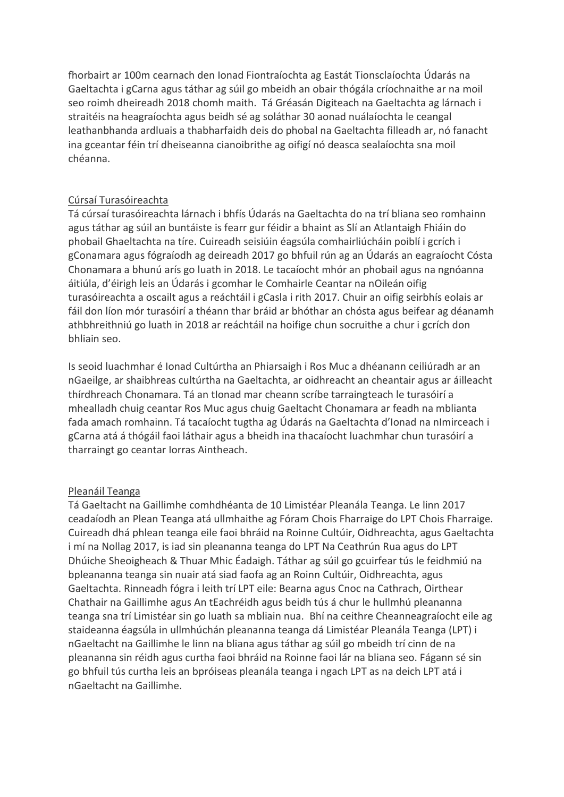fhorbairt ar 100m cearnach den Ionad Fiontraíochta ag Eastát Tionsclaíochta Údarás na Gaeltachta i gCarna agus táthar ag súil go mbeidh an obair thógála críochnaithe ar na moil seo roimh dheireadh 2018 chomh maith. Tá Gréasán Digiteach na Gaeltachta ag lárnach i straitéis na heagraíochta agus beidh sé ag soláthar 30 aonad nuálaíochta le ceangal leathanbhanda ardluais a thabharfaidh deis do phobal na Gaeltachta filleadh ar, nó fanacht ina gceantar féin trí dheiseanna cianoibrithe ag oifigí nó deasca sealaíochta sna moil chéanna.

## Cúrsaí Turasóireachta

Tá cúrsaí turasóireachta lárnach i bhfís Údarás na Gaeltachta do na trí bliana seo romhainn agus táthar ag súil an buntáiste is fearr gur féidir a bhaint as Slí an Atlantaigh Fhiáin do phobail Ghaeltachta na tíre. Cuireadh seisiúin éagsúla comhairliúcháin poiblí i gcrích i gConamara agus fógraíodh ag deireadh 2017 go bhfuil rún ag an Údarás an eagraíocht Cósta Chonamara a bhunú arís go luath in 2018. Le tacaíocht mhór an phobail agus na ngnóanna áitiúla, d'éirigh leis an Údarás i gcomhar le Comhairle Ceantar na nOileán oifig turasóireachta a oscailt agus a reáchtáil i gCasla i rith 2017. Chuir an oifig seirbhís eolais ar fáil don líon mór turasóirí a théann thar bráid ar bhóthar an chósta agus beifear ag déanamh athbhreithniú go luath in 2018 ar reáchtáil na hoifige chun socruithe a chur i gcrích don bhliain seo.

Is seoid luachmhar é Ionad Cultúrtha an Phiarsaigh i Ros Muc a dhéanann ceiliúradh ar an nGaeilge, ar shaibhreas cultúrtha na Gaeltachta, ar oidhreacht an cheantair agus ar áilleacht thírdhreach Chonamara. Tá an tIonad mar cheann scríbe tarraingteach le turasóirí a mhealladh chuig ceantar Ros Muc agus chuig Gaeltacht Chonamara ar feadh na mblianta fada amach romhainn. Tá tacaíocht tugtha ag Údarás na Gaeltachta d'Ionad na nImirceach i gCarna atá á thógáil faoi láthair agus a bheidh ina thacaíocht luachmhar chun turasóirí a tharraingt go ceantar Iorras Aintheach.

#### Pleanáil Teanga

Tá Gaeltacht na Gaillimhe comhdhéanta de 10 Limistéar Pleanála Teanga. Le linn 2017 ceadaíodh an Plean Teanga atá ullmhaithe ag Fóram Chois Fharraige do LPT Chois Fharraige. Cuireadh dhá phlean teanga eile faoi bhráid na Roinne Cultúir, Oidhreachta, agus Gaeltachta i mí na Nollag 2017, is iad sin pleananna teanga do LPT Na Ceathrún Rua agus do LPT Dhúiche Sheoigheach & Thuar Mhic Éadaigh. Táthar ag súil go gcuirfear tús le feidhmiú na bpleananna teanga sin nuair atá siad faofa ag an Roinn Cultúir, Oidhreachta, agus Gaeltachta. Rinneadh fógra i leith trí LPT eile: Bearna agus Cnoc na Cathrach, Oirthear Chathair na Gaillimhe agus An tEachréidh agus beidh tús á chur le hullmhú pleananna teanga sna trí Limistéar sin go luath sa mbliain nua. Bhí na ceithre Cheanneagraíocht eile ag staideanna éagsúla in ullmhúchán pleananna teanga dá Limistéar Pleanála Teanga (LPT) i nGaeltacht na Gaillimhe le linn na bliana agus táthar ag súil go mbeidh trí cinn de na pleananna sin réidh agus curtha faoi bhráid na Roinne faoi lár na bliana seo. Fágann sé sin go bhfuil tús curtha leis an bpróiseas pleanála teanga i ngach LPT as na deich LPT atá i nGaeltacht na Gaillimhe.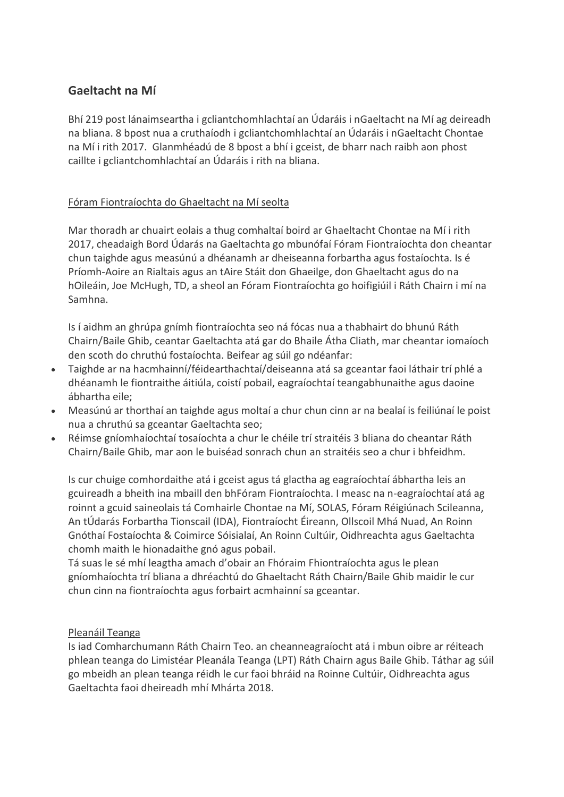# **Gaeltacht na Mí**

Bhí 219 post lánaimseartha i gcliantchomhlachtaí an Údaráis i nGaeltacht na Mí ag deireadh na bliana. 8 bpost nua a cruthaíodh i gcliantchomhlachtaí an Údaráis i nGaeltacht Chontae na Mí i rith 2017. Glanmhéadú de 8 bpost a bhí i gceist, de bharr nach raibh aon phost caillte i gcliantchomhlachtaí an Údaráis i rith na bliana.

## Fóram Fiontraíochta do Ghaeltacht na Mí seolta

Mar thoradh ar chuairt eolais a thug comhaltaí boird ar Ghaeltacht Chontae na Mí i rith 2017, cheadaigh Bord Údarás na Gaeltachta go mbunófaí Fóram Fiontraíochta don cheantar chun taighde agus measúnú a dhéanamh ar dheiseanna forbartha agus fostaíochta. Is é Príomh-Aoire an Rialtais agus an tAire Stáit don Ghaeilge, don Ghaeltacht agus do na hOileáin, Joe McHugh, TD, a sheol an Fóram Fiontraíochta go hoifigiúil i Ráth Chairn i mí na Samhna.

Is í aidhm an ghrúpa gnímh fiontraíochta seo ná fócas nua a thabhairt do bhunú Ráth Chairn/Baile Ghib, ceantar Gaeltachta atá gar do Bhaile Átha Cliath, mar cheantar iomaíoch den scoth do chruthú fostaíochta. Beifear ag súil go ndéanfar:

- Taighde ar na hacmhainní/féidearthachtaí/deiseanna atá sa gceantar faoi láthair trí phlé a dhéanamh le fiontraithe áitiúla, coistí pobail, eagraíochtaí teangabhunaithe agus daoine ábhartha eile;
- Measúnú ar thorthaí an taighde agus moltaí a chur chun cinn ar na bealaí is feiliúnaí le poist nua a chruthú sa gceantar Gaeltachta seo;
- Réimse gníomhaíochtaí tosaíochta a chur le chéile trí straitéis 3 bliana do cheantar Ráth Chairn/Baile Ghib, mar aon le buiséad sonrach chun an straitéis seo a chur i bhfeidhm.

Is cur chuige comhordaithe atá i gceist agus tá glactha ag eagraíochtaí ábhartha leis an gcuireadh a bheith ina mbaill den bhFóram Fiontraíochta. I measc na n-eagraíochtaí atá ag roinnt a gcuid saineolais tá Comhairle Chontae na Mí, SOLAS, Fóram Réigiúnach Scileanna, An tÚdarás Forbartha Tionscail (IDA), Fiontraíocht Éireann, Ollscoil Mhá Nuad, An Roinn Gnóthaí Fostaíochta & Coimirce Sóisialaí, An Roinn Cultúir, Oidhreachta agus Gaeltachta chomh maith le hionadaithe gnó agus pobail.

Tá suas le sé mhí leagtha amach d'obair an Fhóraim Fhiontraíochta agus le plean gníomhaíochta trí bliana a dhréachtú do Ghaeltacht Ráth Chairn/Baile Ghib maidir le cur chun cinn na fiontraíochta agus forbairt acmhainní sa gceantar.

#### Pleanáil Teanga

Is iad Comharchumann Ráth Chairn Teo. an cheanneagraíocht atá i mbun oibre ar réiteach phlean teanga do Limistéar Pleanála Teanga (LPT) Ráth Chairn agus Baile Ghib. Táthar ag súil go mbeidh an plean teanga réidh le cur faoi bhráid na Roinne Cultúir, Oidhreachta agus Gaeltachta faoi dheireadh mhí Mhárta 2018.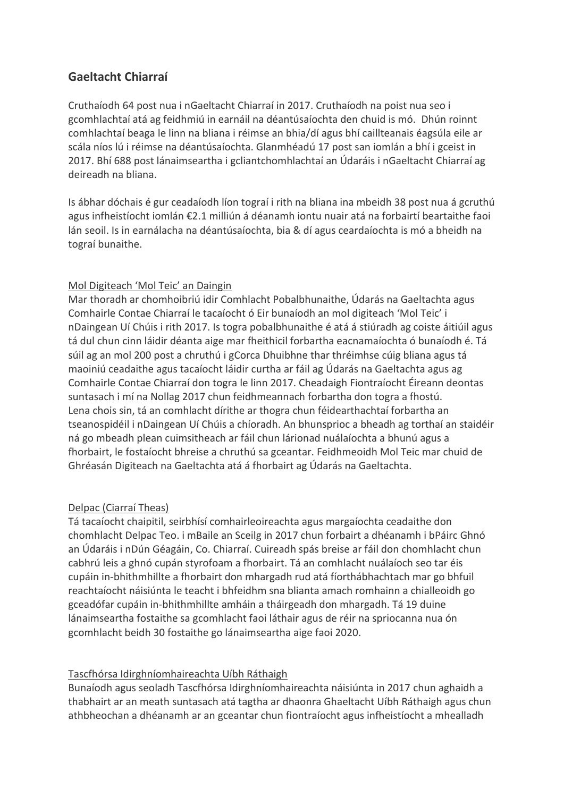# **Gaeltacht Chiarraí**

Cruthaíodh 64 post nua i nGaeltacht Chiarraí in 2017. Cruthaíodh na poist nua seo i gcomhlachtaí atá ag feidhmiú in earnáil na déantúsaíochta den chuid is mó. Dhún roinnt comhlachtaí beaga le linn na bliana i réimse an bhia/dí agus bhí caillteanais éagsúla eile ar scála níos lú i réimse na déantúsaíochta. Glanmhéadú 17 post san iomlán a bhí i gceist in 2017. Bhí 688 post lánaimseartha i gcliantchomhlachtaí an Údaráis i nGaeltacht Chiarraí ag deireadh na bliana.

Is ábhar dóchais é gur ceadaíodh líon tograí i rith na bliana ina mbeidh 38 post nua á gcruthú agus infheistíocht iomlán €2.1 milliún á déanamh iontu nuair atá na forbairtí beartaithe faoi lán seoil. Is in earnálacha na déantúsaíochta, bia & dí agus ceardaíochta is mó a bheidh na tograí bunaithe.

## Mol Digiteach 'Mol Teic' an Daingin

Mar thoradh ar chomhoibriú idir Comhlacht Pobalbhunaithe, Údarás na Gaeltachta agus Comhairle Contae Chiarraí le tacaíocht ó Eir bunaíodh an mol digiteach 'Mol Teic' i nDaingean Uí Chúis i rith 2017. Is togra pobalbhunaithe é atá á stiúradh ag coiste áitiúil agus tá dul chun cinn láidir déanta aige mar fheithicil forbartha eacnamaíochta ó bunaíodh é. Tá súil ag an mol 200 post a chruthú i gCorca Dhuibhne thar thréimhse cúig bliana agus tá maoiniú ceadaithe agus tacaíocht láidir curtha ar fáil ag Údarás na Gaeltachta agus ag Comhairle Contae Chiarraí don togra le linn 2017. Cheadaigh Fiontraíocht Éireann deontas suntasach i mí na Nollag 2017 chun feidhmeannach forbartha don togra a fhostú. Lena chois sin, tá an comhlacht dírithe ar thogra chun féidearthachtaí forbartha an tseanospidéil i nDaingean Uí Chúis a chíoradh. An bhunsprioc a bheadh ag torthaí an staidéir ná go mbeadh plean cuimsitheach ar fáil chun lárionad nuálaíochta a bhunú agus a fhorbairt, le fostaíocht bhreise a chruthú sa gceantar. Feidhmeoidh Mol Teic mar chuid de Ghréasán Digiteach na Gaeltachta atá á fhorbairt ag Údarás na Gaeltachta.

## Delpac (Ciarraí Theas)

Tá tacaíocht chaipitil, seirbhísí comhairleoireachta agus margaíochta ceadaithe don chomhlacht Delpac Teo. i mBaile an Sceilg in 2017 chun forbairt a dhéanamh i bPáirc Ghnó an Údaráis i nDún Géagáin, Co. Chiarraí. Cuireadh spás breise ar fáil don chomhlacht chun cabhrú leis a ghnó cupán styrofoam a fhorbairt. Tá an comhlacht nuálaíoch seo tar éis cupáin in-bhithmhillte a fhorbairt don mhargadh rud atá fíorthábhachtach mar go bhfuil reachtaíocht náisiúnta le teacht i bhfeidhm sna blianta amach romhainn a chialleoidh go gceadófar cupáin in-bhithmhillte amháin a tháirgeadh don mhargadh. Tá 19 duine lánaimseartha fostaithe sa gcomhlacht faoi láthair agus de réir na spriocanna nua ón gcomhlacht beidh 30 fostaithe go lánaimseartha aige faoi 2020.

## Tascfhórsa Idirghníomhaireachta Uíbh Ráthaigh

Bunaíodh agus seoladh Tascfhórsa Idirghníomhaireachta náisiúnta in 2017 chun aghaidh a thabhairt ar an meath suntasach atá tagtha ar dhaonra Ghaeltacht Uíbh Ráthaigh agus chun athbheochan a dhéanamh ar an gceantar chun fiontraíocht agus infheistíocht a mhealladh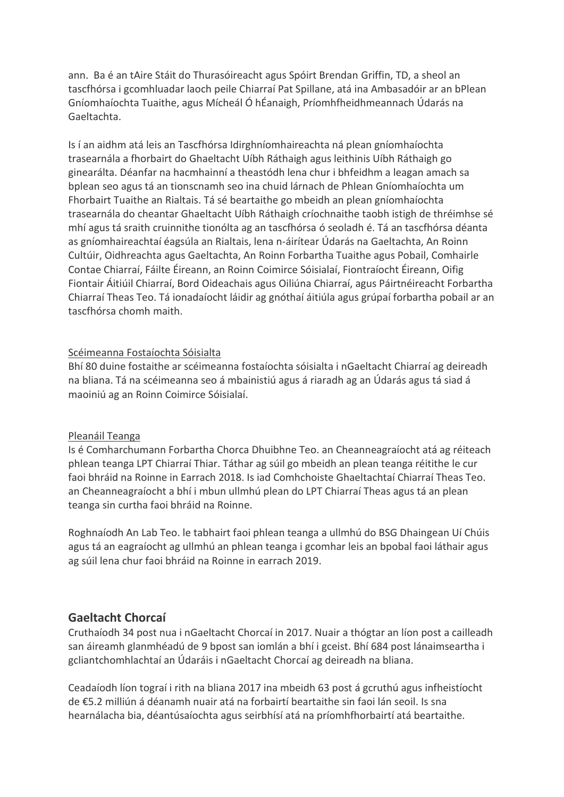ann. Ba é an tAire Stáit do Thurasóireacht agus Spóirt Brendan Griffin, TD, a sheol an tascfhórsa i gcomhluadar laoch peile Chiarraí Pat Spillane, atá ina Ambasadóir ar an bPlean Gníomhaíochta Tuaithe, agus Mícheál Ó hÉanaigh, Príomhfheidhmeannach Údarás na Gaeltachta.

Is í an aidhm atá leis an Tascfhórsa Idirghníomhaireachta ná plean gníomhaíochta trasearnála a fhorbairt do Ghaeltacht Uíbh Ráthaigh agus leithinis Uíbh Ráthaigh go ginearálta. Déanfar na hacmhainní a theastódh lena chur i bhfeidhm a leagan amach sa bplean seo agus tá an tionscnamh seo ina chuid lárnach de Phlean Gníomhaíochta um Fhorbairt Tuaithe an Rialtais. Tá sé beartaithe go mbeidh an plean gníomhaíochta trasearnála do cheantar Ghaeltacht Uíbh Ráthaigh críochnaithe taobh istigh de thréimhse sé mhí agus tá sraith cruinnithe tionólta ag an tascfhórsa ó seoladh é. Tá an tascfhórsa déanta as gníomhaireachtaí éagsúla an Rialtais, lena n-áirítear Údarás na Gaeltachta, An Roinn Cultúir, Oidhreachta agus Gaeltachta, An Roinn Forbartha Tuaithe agus Pobail, Comhairle Contae Chiarraí, Fáilte Éireann, an Roinn Coimirce Sóisialaí, Fiontraíocht Éireann, Oifig Fiontair Áitiúil Chiarraí, Bord Oideachais agus Oiliúna Chiarraí, agus Páirtnéireacht Forbartha Chiarraí Theas Teo. Tá ionadaíocht láidir ag gnóthaí áitiúla agus grúpaí forbartha pobail ar an tascfhórsa chomh maith.

#### Scéimeanna Fostaíochta Sóisialta

Bhí 80 duine fostaithe ar scéimeanna fostaíochta sóisialta i nGaeltacht Chiarraí ag deireadh na bliana. Tá na scéimeanna seo á mbainistiú agus á riaradh ag an Údarás agus tá siad á maoiniú ag an Roinn Coimirce Sóisialaí.

#### Pleanáil Teanga

Is é Comharchumann Forbartha Chorca Dhuibhne Teo. an Cheanneagraíocht atá ag réiteach phlean teanga LPT Chiarraí Thiar. Táthar ag súil go mbeidh an plean teanga réitithe le cur faoi bhráid na Roinne in Earrach 2018. Is iad Comhchoiste Ghaeltachtaí Chiarraí Theas Teo. an Cheanneagraíocht a bhí i mbun ullmhú plean do LPT Chiarraí Theas agus tá an plean teanga sin curtha faoi bhráid na Roinne.

Roghnaíodh An Lab Teo. le tabhairt faoi phlean teanga a ullmhú do BSG Dhaingean Uí Chúis agus tá an eagraíocht ag ullmhú an phlean teanga i gcomhar leis an bpobal faoi láthair agus ag súil lena chur faoi bhráid na Roinne in earrach 2019.

## **Gaeltacht Chorcaí**

Cruthaíodh 34 post nua i nGaeltacht Chorcaí in 2017. Nuair a thógtar an líon post a cailleadh san áireamh glanmhéadú de 9 bpost san iomlán a bhí i gceist. Bhí 684 post lánaimseartha i gcliantchomhlachtaí an Údaráis i nGaeltacht Chorcaí ag deireadh na bliana.

Ceadaíodh líon tograí i rith na bliana 2017 ina mbeidh 63 post á gcruthú agus infheistíocht de €5.2 milliún á déanamh nuair atá na forbairtí beartaithe sin faoi lán seoil. Is sna hearnálacha bia, déantúsaíochta agus seirbhísí atá na príomhfhorbairtí atá beartaithe.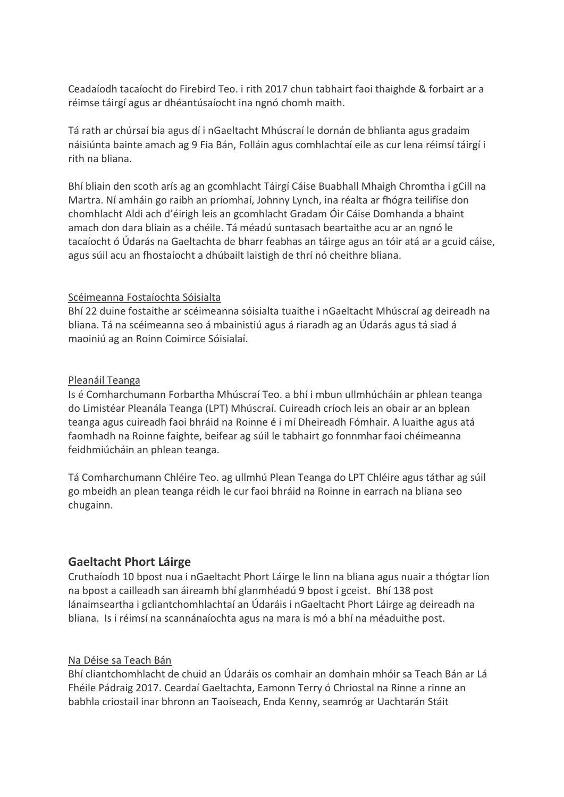Ceadaíodh tacaíocht do Firebird Teo. i rith 2017 chun tabhairt faoi thaighde & forbairt ar a réimse táirgí agus ar dhéantúsaíocht ina ngnó chomh maith.

Tá rath ar chúrsaí bia agus dí i nGaeltacht Mhúscraí le dornán de bhlianta agus gradaim náisiúnta bainte amach ag 9 Fia Bán, Folláin agus comhlachtaí eile as cur lena réimsí táirgí i rith na bliana.

Bhí bliain den scoth arís ag an gcomhlacht Táirgí Cáise Buabhall Mhaigh Chromtha i gCill na Martra. Ní amháin go raibh an príomhaí, Johnny Lynch, ina réalta ar fhógra teilifíse don chomhlacht Aldi ach d'éirigh leis an gcomhlacht Gradam Óir Cáise Domhanda a bhaint amach don dara bliain as a chéile. Tá méadú suntasach beartaithe acu ar an ngnó le tacaíocht ó Údarás na Gaeltachta de bharr feabhas an táirge agus an tóir atá ar a gcuid cáise, agus súil acu an fhostaíocht a dhúbailt laistigh de thrí nó cheithre bliana.

## Scéimeanna Fostaíochta Sóisialta

Bhí 22 duine fostaithe ar scéimeanna sóisialta tuaithe i nGaeltacht Mhúscraí ag deireadh na bliana. Tá na scéimeanna seo á mbainistiú agus á riaradh ag an Údarás agus tá siad á maoiniú ag an Roinn Coimirce Sóisialaí.

## Pleanáil Teanga

Is é Comharchumann Forbartha Mhúscraí Teo. a bhí i mbun ullmhúcháin ar phlean teanga do Limistéar Pleanála Teanga (LPT) Mhúscraí. Cuireadh críoch leis an obair ar an bplean teanga agus cuireadh faoi bhráid na Roinne é i mí Dheireadh Fómhair. A luaithe agus atá faomhadh na Roinne faighte, beifear ag súil le tabhairt go fonnmhar faoi chéimeanna feidhmiúcháin an phlean teanga.

Tá Comharchumann Chléire Teo. ag ullmhú Plean Teanga do LPT Chléire agus táthar ag súil go mbeidh an plean teanga réidh le cur faoi bhráid na Roinne in earrach na bliana seo chugainn.

## **Gaeltacht Phort Láirge**

Cruthaíodh 10 bpost nua i nGaeltacht Phort Láirge le linn na bliana agus nuair a thógtar líon na bpost a cailleadh san áireamh bhí glanmhéadú 9 bpost i gceist. Bhí 138 post lánaimseartha i gcliantchomhlachtaí an Údaráis i nGaeltacht Phort Láirge ag deireadh na bliana. Is i réimsí na scannánaíochta agus na mara is mó a bhí na méaduithe post.

#### Na Déise sa Teach Bán

Bhí cliantchomhlacht de chuid an Údaráis os comhair an domhain mhóir sa Teach Bán ar Lá Fhéile Pádraig 2017. Ceardaí Gaeltachta, Eamonn Terry ó Chriostal na Rinne a rinne an babhla criostail inar bhronn an Taoiseach, Enda Kenny, seamróg ar Uachtarán Stáit